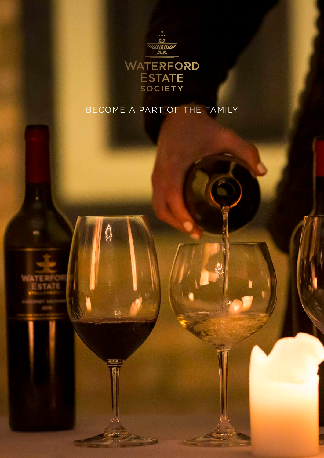

## BECOME A PART OF THE FAMILY



Ő

is.

(BI)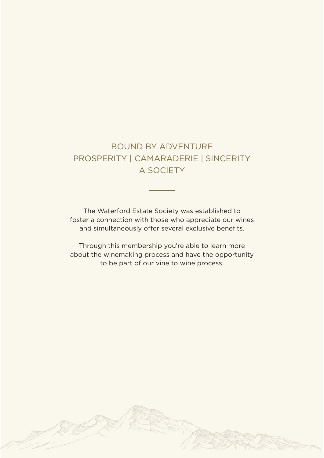## BOUND BY ADVENTURE PROSPERITY | CAMARADERIE | SINCERITY A SOCIETY

The Waterford Estate Society was established to foster a connection with those who appreciate our wines and simultaneously offer several exclusive benefits.

Through this membership you're able to learn more about the winemaking process and have the opportunity to be part of our vine to wine process.